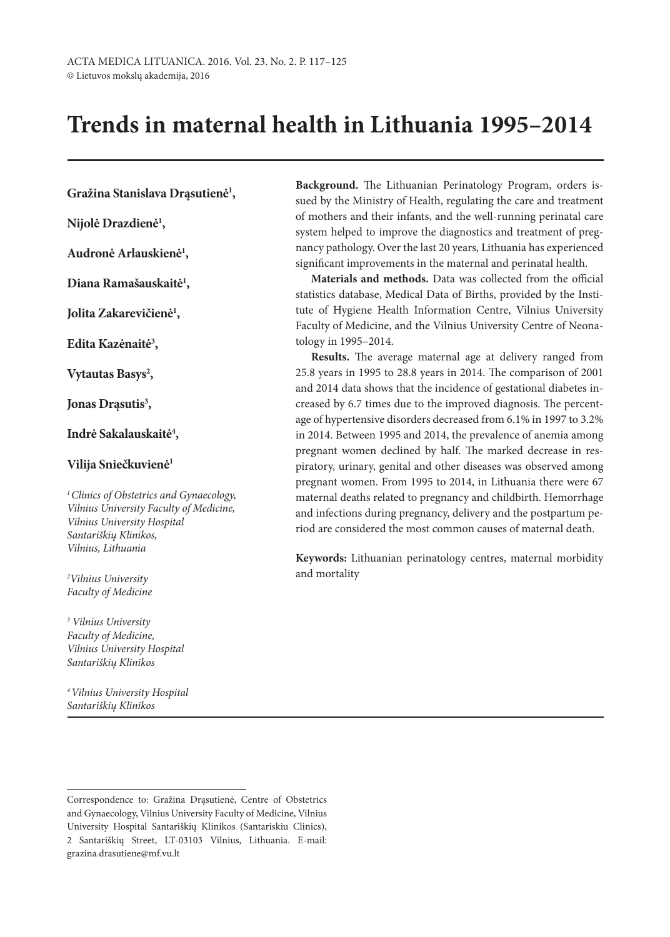# **Trends in maternal health in Lithuania 1995–2014**

# **Gražina Stanislava Drąsutienė1 ,**

**Nijolė Drazdienė1 ,**

**Audronė Arlauskienė1 ,**

**Diana Ramašauskaitė1 ,**

**Jolita Zakarevičienė1 ,**

**Edita Kazėnaitė3 ,**

Vytautas Basys<sup>2</sup>,

**Jonas Drąsutis3 ,**

**Indrė Sakalauskaitė4 ,**

#### **Vilija Sniečkuvienė1**

*1Clinics of Obstetrics and Gynaecology, Vilnius University Faculty of Medicine, Vilnius University Hospital Santariškių Klinikos, Vilnius, Lithuania*

*2 Vilnius University Faculty of Medicine*

*<sup>3</sup> Vilnius University Faculty of Medicine, Vilnius University Hospital Santariškių Klinikos*

*4Vilnius University Hospital Santariškių Klinikos*

**Background.** The Lithuanian Perinatology Program, orders issued by the Ministry of Health, regulating the care and treatment of mothers and their infants, and the well-running perinatal care system helped to improve the diagnostics and treatment of pregnancy pathology. Over the last 20 years, Lithuania has experienced significant improvements in the maternal and perinatal health.

**Materials and methods.** Data was collected from the official statistics database, Medical Data of Births, provided by the Institute of Hygiene Health Information Centre, Vilnius University Faculty of Medicine, and the Vilnius University Centre of Neonatology in 1995–2014.

**Results.** The average maternal age at delivery ranged from 25.8 years in 1995 to 28.8 years in 2014. The comparison of 2001 and 2014 data shows that the incidence of gestational diabetes increased by 6.7 times due to the improved diagnosis. The percentage of hypertensive disorders decreased from 6.1% in 1997 to 3.2% in 2014. Between 1995 and 2014, the prevalence of anemia among pregnant women declined by half. The marked decrease in respiratory, urinary, genital and other diseases was observed among pregnant women. From 1995 to 2014, in Lithuania there were 67 maternal deaths related to pregnancy and childbirth. Hemorrhage and infections during pregnancy, delivery and the postpartum period are considered the most common causes of maternal death.

**Keywords:** Lithuanian perinatology centres, maternal morbidity and mortality

Correspondence to: Gražina Drąsutienė, Centre of Obstetrics and Gynaecology, Vilnius University Faculty of Medicine, Vilnius University Hospital Santariškių Klinikos (Santariskiu Clinics), 2 Santariškių Street, LT-03103 Vilnius, Lithuania. E-mail: grazina.drasutiene@mf.vu.lt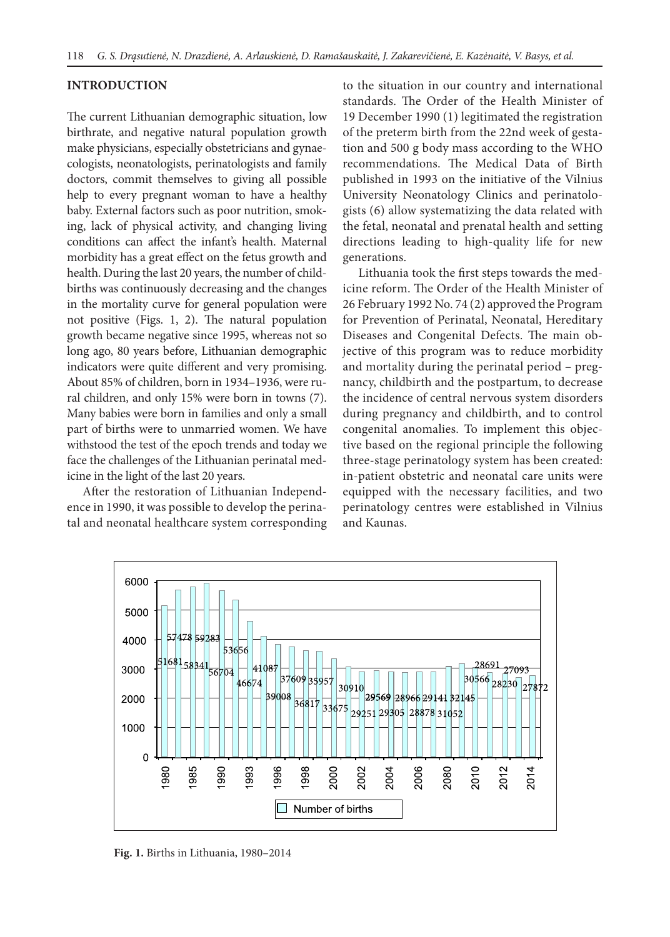#### **INTRODUCTION**

The current Lithuanian demographic situation, low birthrate, and negative natural population growth make physicians, especially obstetricians and gynaecologists, neonatologists, perinatologists and family doctors, commit themselves to giving all possible help to every pregnant woman to have a healthy baby. External factors such as poor nutrition, smoking, lack of physical activity, and changing living conditions can affect the infant's health. Maternal morbidity has a great effect on the fetus growth and health. During the last 20 years, the number of childbirths was continuously decreasing and the changes in the mortality curve for general population were not positive (Figs. 1, 2). The natural population growth became negative since 1995, whereas not so long ago, 80 years before, Lithuanian demographic indicators were quite different and very promising. About 85% of children, born in 1934–1936, were rural children, and only 15% were born in towns (7). Many babies were born in families and only a small part of births were to unmarried women. We have withstood the test of the epoch trends and today we face the challenges of the Lithuanian perinatal medicine in the light of the last 20 years.

After the restoration of Lithuanian Independence in 1990, it was possible to develop the perinatal and neonatal healthcare system corresponding to the situation in our country and international standards. The Order of the Health Minister of 19 December 1990 (1) legitimated the registration of the preterm birth from the 22nd week of gestation and 500 g body mass according to the WHO recommendations. The Medical Data of Birth published in 1993 on the initiative of the Vilnius University Neonatology Clinics and perinatologists (6) allow systematizing the data related with the fetal, neonatal and prenatal health and setting directions leading to high-quality life for new generations.

Lithuania took the first steps towards the medicine reform. The Order of the Health Minister of 26 February 1992 No. 74 (2) approved the Program for Prevention of Perinatal, Neonatal, Hereditary Diseases and Congenital Defects. The main objective of this program was to reduce morbidity and mortality during the perinatal period – pregnancy, childbirth and the postpartum, to decrease the incidence of central nervous system disorders during pregnancy and childbirth, and to control congenital anomalies. To implement this objective based on the regional principle the following three-stage perinatology system has been created: in-patient obstetric and neonatal care units were equipped with the necessary facilities, and two perinatology centres were established in Vilnius and Kaunas.



**Fig. 1.** Births in Lithuania, 1980–2014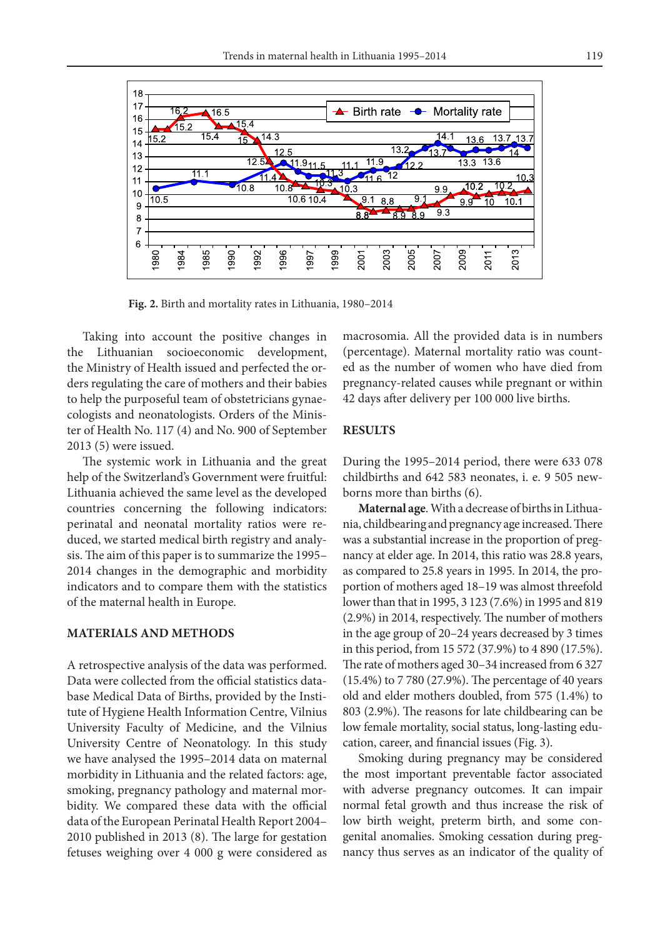

**Fig. 2.** Birth and mortality rates in Lithuania, 1980–2014

Taking into account the positive changes in the Lithuanian socioeconomic development, the Ministry of Health issued and perfected the orders regulating the care of mothers and their babies to help the purposeful team of obstetricians gynaecologists and neonatologists. Orders of the Minister of Health No. 117 (4) and No. 900 of September 2013 (5) were issued.

The systemic work in Lithuania and the great help of the Switzerland's Government were fruitful: Lithuania achieved the same level as the developed countries concerning the following indicators: perinatal and neonatal mortality ratios were reduced, we started medical birth registry and analysis. The aim of this paper is to summarize the 1995– 2014 changes in the demographic and morbidity indicators and to compare them with the statistics of the maternal health in Europe.

#### **MATERIALS AND METHODS**

A retrospective analysis of the data was performed. Data were collected from the official statistics database Medical Data of Births, provided by the Institute of Hygiene Health Information Centre, Vilnius University Faculty of Medicine, and the Vilnius University Centre of Neonatology. In this study we have analysed the 1995–2014 data on maternal morbidity in Lithuania and the related factors: age, smoking, pregnancy pathology and maternal morbidity. We compared these data with the official data of the European Perinatal Health Report 2004– 2010 published in 2013 (8). The large for gestation fetuses weighing over 4 000 g were considered as

macrosomia. All the provided data is in numbers (percentage). Maternal mortality ratio was counted as the number of women who have died from pregnancy-related causes while pregnant or within 42 days after delivery per 100 000 live births.

#### **RESULTS**

During the 1995–2014 period, there were 633 078 childbirths and 642 583 neonates, i. e. 9 505 newborns more than births (6).

**Maternal age**. With a decrease of births in Lithuania, childbearing and pregnancy age increased. There was a substantial increase in the proportion of pregnancy at elder age. In 2014, this ratio was 28.8 years, as compared to 25.8 years in 1995. In 2014, the proportion of mothers aged 18–19 was almost threefold lower than that in 1995, 3 123 (7.6%) in 1995 and 819 (2.9%) in 2014, respectively. The number of mothers in the age group of 20–24 years decreased by 3 times in this period, from 15 572 (37.9%) to 4 890 (17.5%). The rate of mothers aged 30–34 increased from 6 327 (15.4%) to 7 780 (27.9%). The percentage of 40 years old and elder mothers doubled, from 575 (1.4%) to 803 (2.9%). The reasons for late childbearing can be low female mortality, social status, long-lasting education, career, and financial issues (Fig. 3).

Smoking during pregnancy may be considered the most important preventable factor associated with adverse pregnancy outcomes. It can impair normal fetal growth and thus increase the risk of low birth weight, preterm birth, and some congenital anomalies. Smoking cessation during pregnancy thus serves as an indicator of the quality of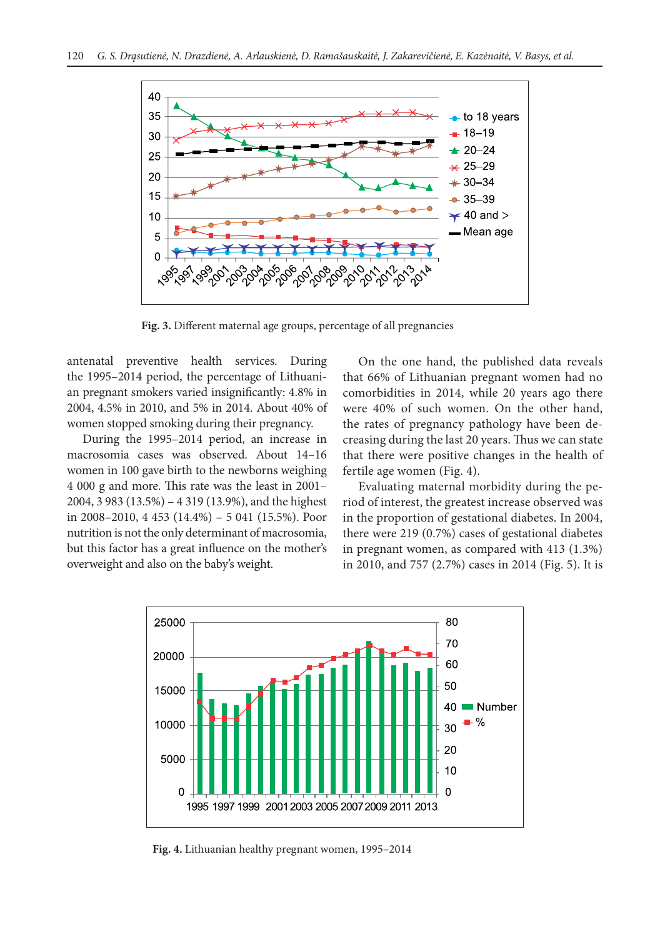

**Fig. 3.** Different maternal age groups, percentage of all pregnancies

antenatal preventive health services. During the 1995–2014 period, the percentage of Lithuanian pregnant smokers varied insignificantly: 4.8% in 2004, 4.5% in 2010, and 5% in 2014. About 40% of women stopped smoking during their pregnancy.

During the 1995–2014 period, an increase in macrosomia cases was observed. About 14–16 women in 100 gave birth to the newborns weighing 4 000 g and more. This rate was the least in 2001– 2004, 3 983 (13.5%) – 4 319 (13.9%), and the highest in 2008–2010, 4 453 (14.4%) – 5 041 (15.5%). Poor nutrition is not the only determinant of macrosomia, but this factor has a great influence on the mother's overweight and also on the baby's weight.

On the one hand, the published data reveals that 66% of Lithuanian pregnant women had no comorbidities in 2014, while 20 years ago there were 40% of such women. On the other hand, the rates of pregnancy pathology have been decreasing during the last 20 years. Thus we can state that there were positive changes in the health of fertile age women (Fig. 4).

Evaluating maternal morbidity during the period of interest, the greatest increase observed was in the proportion of gestational diabetes. In 2004, there were 219 (0.7%) cases of gestational diabetes in pregnant women, as compared with 413 (1.3%) in 2010, and 757 (2.7%) cases in 2014 (Fig. 5). It is



**Fig. 4.** Lithuanian healthy pregnant women, 1995–2014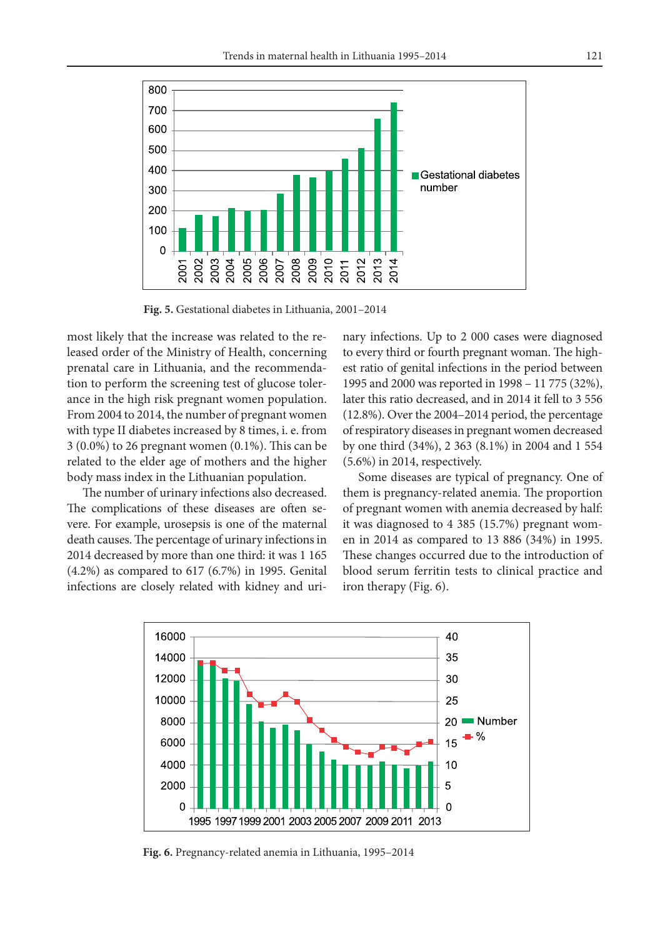

**Fig. 5.** Gestational diabetes in Lithuania, 2001–2014

most likely that the increase was related to the released order of the Ministry of Health, concerning prenatal care in Lithuania, and the recommendation to perform the screening test of glucose tolerance in the high risk pregnant women population. From 2004 to 2014, the number of pregnant women with type II diabetes increased by 8 times, i. e. from 3 (0.0%) to 26 pregnant women (0.1%). This can be related to the elder age of mothers and the higher body mass index in the Lithuanian population.

The number of urinary infections also decreased. The complications of these diseases are often severe. For example, urosepsis is one of the maternal death causes. The percentage of urinary infections in 2014 decreased by more than one third: it was 1 165 (4.2%) as compared to 617 (6.7%) in 1995. Genital infections are closely related with kidney and urinary infections. Up to 2 000 cases were diagnosed to every third or fourth pregnant woman. The highest ratio of genital infections in the period between 1995 and 2000 was reported in 1998 – 11 775 (32%), later this ratio decreased, and in 2014 it fell to 3 556 (12.8%). Over the 2004–2014 period, the percentage of respiratory diseases in pregnant women decreased by one third (34%), 2 363 (8.1%) in 2004 and 1 554 (5.6%) in 2014, respectively.

Some diseases are typical of pregnancy. One of them is pregnancy-related anemia. The proportion of pregnant women with anemia decreased by half: it was diagnosed to 4 385 (15.7%) pregnant women in 2014 as compared to 13 886 (34%) in 1995. These changes occurred due to the introduction of blood serum ferritin tests to clinical practice and iron therapy (Fig. 6).



**Fig. 6.** Pregnancy-related anemia in Lithuania, 1995–2014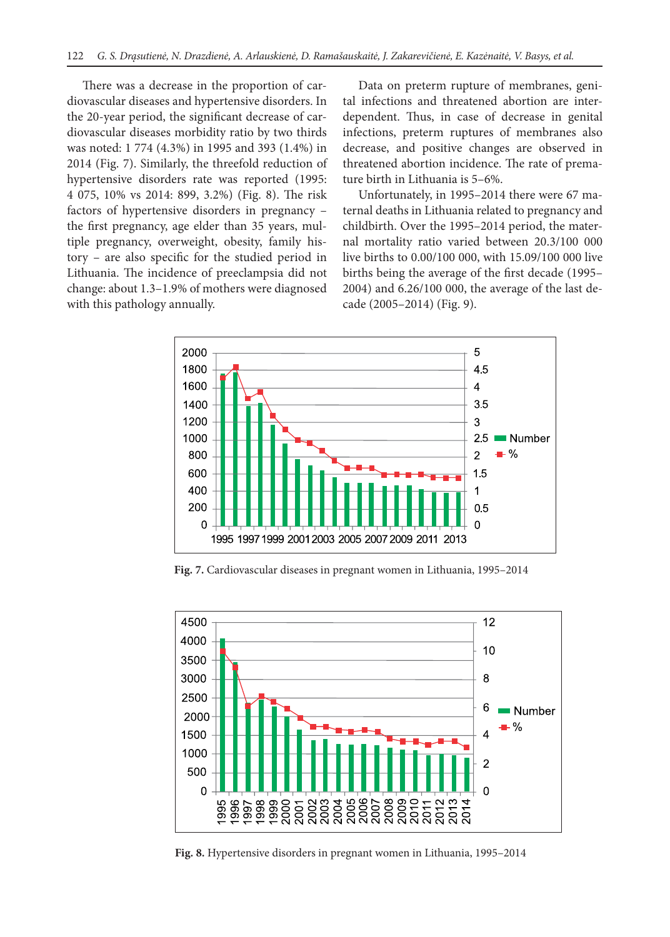There was a decrease in the proportion of cardiovascular diseases and hypertensive disorders. In the 20-year period, the significant decrease of cardiovascular diseases morbidity ratio by two thirds was noted: 1 774 (4.3%) in 1995 and 393 (1.4%) in 2014 (Fig. 7). Similarly, the threefold reduction of hypertensive disorders rate was reported (1995: 4 075, 10% vs 2014: 899, 3.2%) (Fig. 8). The risk factors of hypertensive disorders in pregnancy – the first pregnancy, age elder than 35 years, multiple pregnancy, overweight, obesity, family history – are also specific for the studied period in Lithuania. The incidence of preeclampsia did not change: about 1.3–1.9% of mothers were diagnosed with this pathology annually.

Data on preterm rupture of membranes, genital infections and threatened abortion are interdependent. Thus, in case of decrease in genital infections, preterm ruptures of membranes also decrease, and positive changes are observed in threatened abortion incidence. The rate of premature birth in Lithuania is 5–6%.

Unfortunately, in 1995–2014 there were 67 maternal deaths in Lithuania related to pregnancy and childbirth. Over the 1995–2014 period, the maternal mortality ratio varied between 20.3/100 000 live births to 0.00/100 000, with 15.09/100 000 live births being the average of the first decade (1995– 2004) and 6.26/100 000, the average of the last decade (2005–2014) (Fig. 9).



**Fig. 7.** Cardiovascular diseases in pregnant women in Lithuania, 1995–2014



**Fig. 8.** Hypertensive disorders in pregnant women in Lithuania, 1995–2014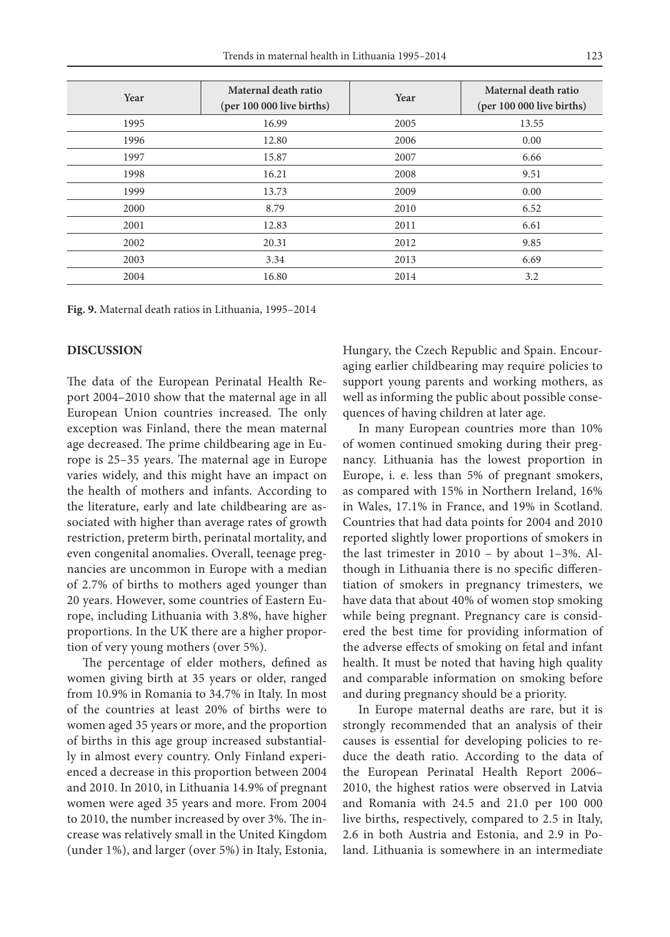| Year | Maternal death ratio<br>(per 100 000 live births) | Year | Maternal death ratio<br>(per 100 000 live births) |
|------|---------------------------------------------------|------|---------------------------------------------------|
| 1995 | 16.99                                             | 2005 | 13.55                                             |
| 1996 | 12.80                                             | 2006 | 0.00                                              |
| 1997 | 15.87                                             | 2007 | 6.66                                              |
| 1998 | 16.21                                             | 2008 | 9.51                                              |
| 1999 | 13.73                                             | 2009 | 0.00                                              |
| 2000 | 8.79                                              | 2010 | 6.52                                              |
| 2001 | 12.83                                             | 2011 | 6.61                                              |
| 2002 | 20.31                                             | 2012 | 9.85                                              |
| 2003 | 3.34                                              | 2013 | 6.69                                              |
| 2004 | 16.80                                             | 2014 | 3.2                                               |

**Fig. 9.** Maternal death ratios in Lithuania, 1995–2014

#### **DISCUSSION**

The data of the European Perinatal Health Report 2004–2010 show that the maternal age in all European Union countries increased. The only exception was Finland, there the mean maternal age decreased. The prime childbearing age in Europe is 25–35 years. The maternal age in Europe varies widely, and this might have an impact on the health of mothers and infants. According to the literature, early and late childbearing are associated with higher than average rates of growth restriction, preterm birth, perinatal mortality, and even congenital anomalies. Overall, teenage pregnancies are uncommon in Europe with a median of 2.7% of births to mothers aged younger than 20 years. However, some countries of Eastern Europe, including Lithuania with 3.8%, have higher proportions. In the UK there are a higher proportion of very young mothers (over 5%).

The percentage of elder mothers, defined as women giving birth at 35 years or older, ranged from 10.9% in Romania to 34.7% in Italy. In most of the countries at least 20% of births were to women aged 35 years or more, and the proportion of births in this age group increased substantially in almost every country. Only Finland experienced a decrease in this proportion between 2004 and 2010. In 2010, in Lithuania 14.9% of pregnant women were aged 35 years and more. From 2004 to 2010, the number increased by over 3%. The increase was relatively small in the United Kingdom (under 1%), and larger (over 5%) in Italy, Estonia,

Hungary, the Czech Republic and Spain. Encouraging earlier childbearing may require policies to support young parents and working mothers, as well as informing the public about possible consequences of having children at later age.

In many European countries more than 10% of women continued smoking during their pregnancy. Lithuania has the lowest proportion in Europe, i. e. less than 5% of pregnant smokers, as compared with 15% in Northern Ireland, 16% in Wales, 17.1% in France, and 19% in Scotland. Countries that had data points for 2004 and 2010 reported slightly lower proportions of smokers in the last trimester in  $2010 - by$  about 1-3%. Although in Lithuania there is no specific differentiation of smokers in pregnancy trimesters, we have data that about 40% of women stop smoking while being pregnant. Pregnancy care is considered the best time for providing information of the adverse effects of smoking on fetal and infant health. It must be noted that having high quality and comparable information on smoking before and during pregnancy should be a priority.

In Europe maternal deaths are rare, but it is strongly recommended that an analysis of their causes is essential for developing policies to reduce the death ratio. According to the data of the European Perinatal Health Report 2006– 2010, the highest ratios were observed in Latvia and Romania with 24.5 and 21.0 per 100 000 live births, respectively, compared to 2.5 in Italy, 2.6 in both Austria and Estonia, and 2.9 in Poland. Lithuania is somewhere in an intermediate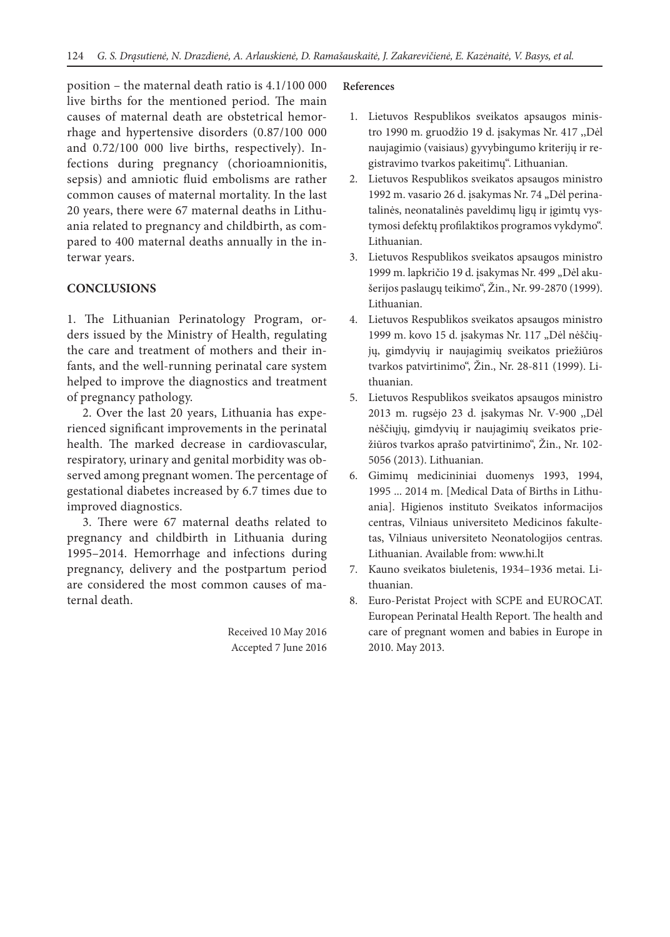position – the maternal death ratio is 4.1/100 000 live births for the mentioned period. The main causes of maternal death are obstetrical hemorrhage and hypertensive disorders (0.87/100 000 and 0.72/100 000 live births, respectively). Infections during pregnancy (chorioamnionitis, sepsis) and amniotic fluid embolisms are rather common causes of maternal mortality. In the last 20 years, there were 67 maternal deaths in Lithuania related to pregnancy and childbirth, as compared to 400 maternal deaths annually in the interwar years.

## **CONCLUSIONS**

1. The Lithuanian Perinatology Program, orders issued by the Ministry of Health, regulating the care and treatment of mothers and their infants, and the well-running perinatal care system helped to improve the diagnostics and treatment of pregnancy pathology.

2. Over the last 20 years, Lithuania has experienced significant improvements in the perinatal health. The marked decrease in cardiovascular, respiratory, urinary and genital morbidity was observed among pregnant women. The percentage of gestational diabetes increased by 6.7 times due to improved diagnostics.

3. There were 67 maternal deaths related to pregnancy and childbirth in Lithuania during 1995–2014. Hemorrhage and infections during pregnancy, delivery and the postpartum period are considered the most common causes of maternal death.

> Received 10 May 2016 Accepted 7 June 2016

## **References**

- 1. Lietuvos Respublikos sveikatos apsaugos ministro 1990 m. gruodžio 19 d. įsakymas Nr. 417 ,,Dėl naujagimio (vaisiaus) gyvybingumo kriterijų ir registravimo tvarkos pakeitimų". Lithuanian.
- 2. Lietuvos Respublikos sveikatos apsaugos ministro 1992 m. vasario 26 d. įsakymas Nr. 74 "Dėl perinatalinės, neonatalinės paveldimų ligų ir įgimtų vystymosi defektų profilaktikos programos vykdymo". Lithuanian.
- 3. Lietuvos Respublikos sveikatos apsaugos ministro 1999 m. lapkričio 19 d. įsakymas Nr. 499 "Dėl akušerijos paslaugų teikimo", Žin., Nr. 99-2870 (1999). Lithuanian.
- 4. Lietuvos Respublikos sveikatos apsaugos ministro 1999 m. kovo 15 d. įsakymas Nr. 117 "Dėl nėščiųjų, gimdyvių ir naujagimių sveikatos priežiūros tvarkos patvirtinimo", Žin., Nr. 28-811 (1999). Lithuanian.
- 5. Lietuvos Respublikos sveikatos apsaugos ministro 2013 m. rugsėjo 23 d. įsakymas Nr. V-900 ,,Dėl nėščiųjų, gimdyvių ir naujagimių sveikatos priežiūros tvarkos aprašo patvirtinimo", Žin., Nr. 102- 5056 (2013). Lithuanian.
- 6. Gimimų medicininiai duomenys 1993, 1994, 1995 ... 2014 m. [Medical Data of Births in Lithuania]. Higienos instituto Sveikatos informacijos centras, Vilniaus universiteto Medicinos fakultetas, Vilniaus universiteto Neonatologijos centras. Lithuanian. Available from: www.hi.lt
- 7. Kauno sveikatos biuletenis, 1934–1936 metai. Lithuanian.
- 8. Euro-Peristat Project with SCPE and EUROCAT. European Perinatal Health Report. The health and care of pregnant women and babies in Europe in 2010. May 2013.